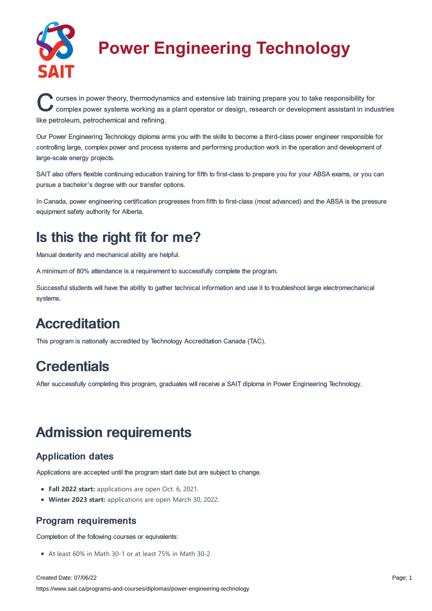

# **Power Engineering Technology**

Courses in power theory, thermodynamics and extensive lab training prepare you to take responsibility for complex power systems working as a plant operator or design, research or development assistant in industries ourses in power theory, thermodynamics and extensive lab training prepare you to take responsibility for like petroleum, petrochemical and refining.

Our Power Engineering Technology diploma arms you with the skills to become a third-class power engineer responsible for controlling large, complex power and process systems and performing production work in the operation and development of large-scale energy projects.

SAIT also offers flexible continuing education training for fifth to first-class to prepare you for your ABSA exams, or you can pursue a bachelor's degree with our transfer options.

In Canada, power engineering certification progresses from fifth to first-class (most advanced) and the ABSA is the pressure equipment safety authority for Alberta.

### Is this the right fit for me?

Manual dexterity and mechanical ability are helpful.

A minimum of 80% attendance is a requirement to successfully complete the program.

Successful students will have the ability to gather technical information and use it to troubleshoot large electromechanical systems.

## **Accreditation**

This program is nationally accredited by Technology Accreditation Canada (TAC).

## **Credentials**

After successfully completing this program, graduates will receive a SAIT diploma in Power Engineering Technology.

### Admission requirements

### Application dates

Applications are accepted until the program start date but are subject to change.

- **Fall 2022 start:** applications are open Oct. 6, 2021.
- **Winter 2023 start:** applications are open March 30, 2022.

### Program requirements

Completion of the following courses or equivalents:

At least 60% in Math 30-1 or at least 75% in Math 30-2

Created Date: 07/06/22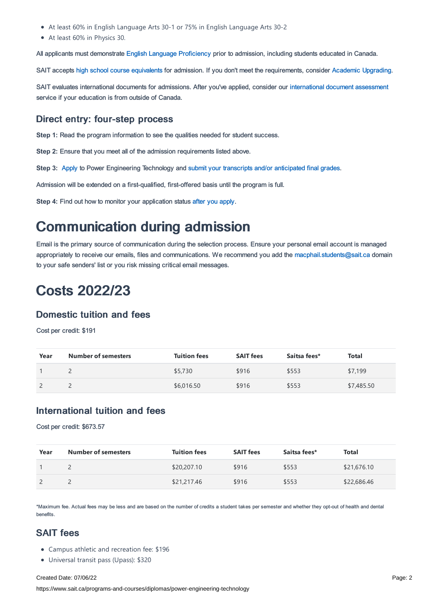- At least 60% in English Language Arts 30-1 or 75% in English Language Arts 30-2
- At least 60% in Physics 30.

All applicants must demonstrate English Language [Proficiency](https://www.sait.ca/admissions/before-you-apply/english-proficiency) prior to admission, including students educated in Canada.

SAIT accepts high school course [equivalents](https://www.sait.ca/admissions/before-you-apply/high-school-course-equivalencies) for admission. If you don't meet the requirements, consider Academic [Upgrading.](https://www.sait.ca/programs-and-courses/academic-upgrading)

SAIT evaluates international documents for admissions. After you've applied, consider our [international](https://www.sait.ca/admissions/after-you-apply/international-document-assessment) document assessment service if your education is from outside of Canada.

#### Direct entry: four-step process

**Step 1:** Read the program information to see the qualities needed for student success.

**Step 2:** Ensure that you meet all of the admission requirements listed above.

**Step 3:** [Apply](https://www.sait.ca/admissions/apply) to Power Engineering Technology and submit your transcripts and/or [anticipated](https://www.sait.ca/admissions/after-you-apply/transcripts-and-supporting-documents) final grades.

Admission will be extended on a first-qualified, first-offered basis until the program is full.

**Step 4:** Find out how to monitor your application status after you [apply](https://www.sait.ca/admissions/after-you-apply/tracking-your-application).

### Communication during admission

Email is the primary source of communication during the selection process. Ensure your personal email account is managed appropriately to receive our emails, files and communications. We recommend you add the [macphail.students@sait.ca](https://sait.camailto:macphail.students@sait.ca) domain to your safe senders' list or you risk missing critical email messages.

### Costs 2022/23

#### Domestic tuition and fees

Cost per credit: \$191

| Year | <b>Number of semesters</b> | <b>Tuition fees</b> | <b>SAIT fees</b> | Saitsa fees* | <b>Total</b> |
|------|----------------------------|---------------------|------------------|--------------|--------------|
|      |                            | \$5,730             | \$916            | \$553        | \$7,199      |
|      |                            | \$6,016.50          | \$916            | \$553        | \$7,485.50   |

#### International tuition and fees

Cost per credit: \$673.57

| Year | <b>Number of semesters</b> | <b>Tuition fees</b> | <b>SAIT fees</b> | Saitsa fees* | Total       |
|------|----------------------------|---------------------|------------------|--------------|-------------|
|      |                            | \$20,207.10         | \$916            | \$553        | \$21,676.10 |
|      |                            | \$21,217.46         | \$916            | \$553        | \$22,686.46 |

\*Maximum fee. Actual fees may be less and are based on the number of credits a student takes per semester and whether they opt-out of health and dental benefits.

#### SAIT fees

- Campus athletic and recreation fee: \$196
- Universal transit pass (Upass): \$320

#### Created Date: 07/06/22